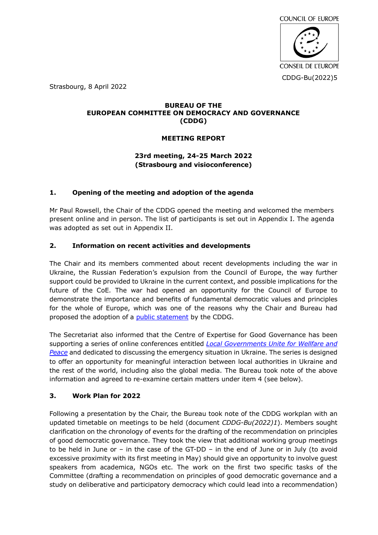

Strasbourg, 8 April 2022

### **BUREAU OF THE EUROPEAN COMMITTEE ON DEMOCRACY AND GOVERNANCE (CDDG)**

# **MEETING REPORT**

# **23rd meeting, 24-25 March 2022 (Strasbourg and visioconference)**

# **1. Opening of the meeting and adoption of the agenda**

Mr Paul Rowsell, the Chair of the CDDG opened the meeting and welcomed the members present online and in person. The list of participants is set out in Appendix I. The agenda was adopted as set out in Appendix II.

# **2. Information on recent activities and developments**

The Chair and its members commented about recent developments including the war in Ukraine, the Russian Federation's expulsion from the Council of Europe, the way further support could be provided to Ukraine in the current context, and possible implications for the future of the CoE. The war had opened an opportunity for the Council of Europe to demonstrate the importance and benefits of fundamental democratic values and principles for the whole of Europe, which was one of the reasons why the Chair and Bureau had proposed the adoption of a **public statement** by the CDDG.

The Secretariat also informed that the Centre of Expertise for Good Governance has been supporting a series of online conferences entitled *[Local Governments Unite for Wellfare and](https://www.coe.int/en/web/good-governance/-/-standwithukraine-conference-29-march-local-governments-unite-for-welfare-and-peace)  [Peace](https://www.coe.int/en/web/good-governance/-/-standwithukraine-conference-29-march-local-governments-unite-for-welfare-and-peace)* and dedicated to discussing the emergency situation in Ukraine. The series is designed to offer an opportunity for meaningful interaction between local authorities in Ukraine and the rest of the world, including also the global media. The Bureau took note of the above information and agreed to re-examine certain matters under item 4 (see below).

# **3. Work Plan for 2022**

Following a presentation by the Chair, the Bureau took note of the CDDG workplan with an updated timetable on meetings to be held (document *CDDG-Bu(2022)1*). Members sought clarification on the chronology of events for the drafting of the recommendation on principles of good democratic governance. They took the view that additional working group meetings to be held in June or – in the case of the GT-DD – in the end of June or in July (to avoid excessive proximity with its first meeting in May) should give an opportunity to involve guest speakers from academica, NGOs etc. The work on the first two specific tasks of the Committee (drafting a recommendation on principles of good democratic governance and a study on deliberative and participatory democracy which could lead into a recommendation)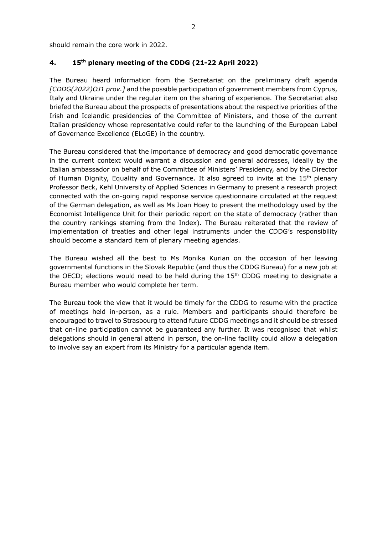should remain the core work in 2022.

### **4. 15th plenary meeting of the CDDG (21-22 April 2022)**

The Bureau heard information from the Secretariat on the preliminary draft agenda *[CDDG(2022)OJ1 prov.]* and the possible participation of government members from Cyprus, Italy and Ukraine under the regular item on the sharing of experience*.* The Secretariat also briefed the Bureau about the prospects of presentations about the respective priorities of the Irish and Icelandic presidencies of the Committee of Ministers, and those of the current Italian presidency whose representative could refer to the launching of the European Label of Governance Excellence (ELoGE) in the country.

The Bureau considered that the importance of democracy and good democratic governance in the current context would warrant a discussion and general addresses, ideally by the Italian ambassador on behalf of the Committee of Ministers' Presidency, and by the Director of Human Dignity, Equality and Governance. It also agreed to invite at the 15<sup>th</sup> plenary Professor Beck, Kehl University of Applied Sciences in Germany to present a research project connected with the on-going rapid response service questionnaire circulated at the request of the German delegation, as well as Ms Joan Hoey to present the methodology used by the Economist Intelligence Unit for their periodic report on the state of democracy (rather than the country rankings steming from the Index). The Bureau reiterated that the review of implementation of treaties and other legal instruments under the CDDG's responsibility should become a standard item of plenary meeting agendas.

The Bureau wished all the best to Ms Monika Kurian on the occasion of her leaving governmental functions in the Slovak Republic (and thus the CDDG Bureau) for a new job at the OECD; elections would need to be held during the  $15<sup>th</sup>$  CDDG meeting to designate a Bureau member who would complete her term.

The Bureau took the view that it would be timely for the CDDG to resume with the practice of meetings held in-person, as a rule. Members and participants should therefore be encouraged to travel to Strasbourg to attend future CDDG meetings and it should be stressed that on-line participation cannot be guaranteed any further. It was recognised that whilst delegations should in general attend in person, the on-line facility could allow a delegation to involve say an expert from its Ministry for a particular agenda item.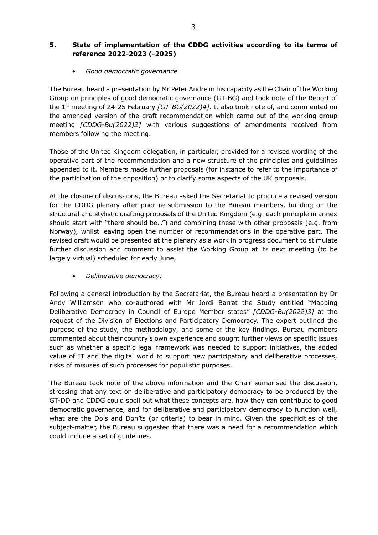# **5. State of implementation of the CDDG activities according to its terms of reference 2022-2023 (-2025)**

• *Good democratic governance*

The Bureau heard a presentation by Mr Peter Andre in his capacity as the Chair of the Working Group on principles of good democratic governance (GT-BG) and took note of the Report of the 1st meeting of 24-25 February *[GT-BG(2022)4].* It also took note of, and commented on the amended version of the draft recommendation which came out of the working group meeting *[CDDG-Bu(2022)2]* with various suggestions of amendments received from members following the meeting.

Those of the United Kingdom delegation, in particular, provided for a revised wording of the operative part of the recommendation and a new structure of the principles and guidelines appended to it. Members made further proposals (for instance to refer to the importance of the participation of the opposition) or to clarify some aspects of the UK proposals.

At the closure of discussions, the Bureau asked the Secretariat to produce a revised version for the CDDG plenary after prior re-submission to the Bureau members, building on the structural and stylistic drafting proposals of the United Kingdom (e.g. each principle in annex should start with "there should be…") and combining these with other proposals (e.g. from Norway), whilst leaving open the number of recommendations in the operative part. The revised draft would be presented at the plenary as a work in progress document to stimulate further discussion and comment to assist the Working Group at its next meeting (to be largely virtual) scheduled for early June,

• *Deliberative democracy:* 

Following a general introduction by the Secretariat, the Bureau heard a presentation by Dr Andy Williamson who co-authored with Mr Jordi Barrat the Study entitled "Mapping Deliberative Democracy in Council of Europe Member states" *[CDDG-Bu(2022)3]* at the request of the Division of Elections and Participatory Democracy. The expert outlined the purpose of the study, the methodology, and some of the key findings. Bureau members commented about their country's own experience and sought further views on specific issues such as whether a specific legal framework was needed to support initiatives, the added value of IT and the digital world to support new participatory and deliberative processes, risks of misuses of such processes for populistic purposes.

The Bureau took note of the above information and the Chair sumarised the discussion, stressing that any text on deliberative and participatory democracy to be produced by the GT-DD and CDDG could spell out what these concepts are, how they can contribute to good democratic governance, and for deliberative and participatory democracy to function well, what are the Do's and Don'ts (or criteria) to bear in mind. Given the specificities of the subject-matter, the Bureau suggested that there was a need for a recommendation which could include a set of guidelines.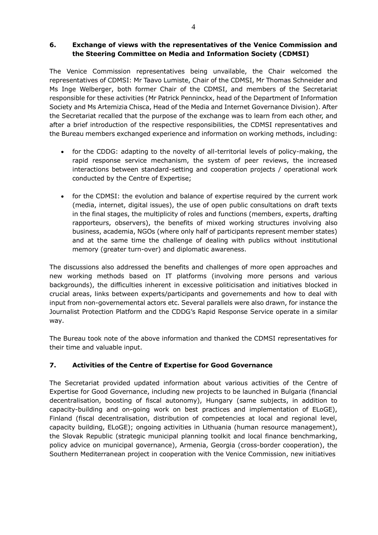## **6. Exchange of views with the representatives of the Venice Commission and the Steering Committee on Media and Information Society (CDMSI)**

The Venice Commission representatives being unvailable, the Chair welcomed the representatives of CDMSI: Mr Taavo Lumiste, Chair of the CDMSI, Mr Thomas Schneider and Ms Inge Welberger, both former Chair of the CDMSI, and members of the Secretariat responsible for these activities (Mr Patrick Penninckx, head of the Department of Information Society and Ms Artemizia Chisca, Head of the Media and Internet Governance Division). After the Secretariat recalled that the purpose of the exchange was to learn from each other, and after a brief introduction of the respective responsibilities, the CDMSI representatives and the Bureau members exchanged experience and information on working methods, including:

- for the CDDG: adapting to the novelty of all-territorial levels of policy-making, the rapid response service mechanism, the system of peer reviews, the increased interactions between standard-setting and cooperation projects / operational work conducted by the Centre of Expertise;
- for the CDMSI: the evolution and balance of expertise required by the current work (media, internet, digital issues), the use of open public consultations on draft texts in the final stages, the multiplicity of roles and functions (members, experts, drafting rapporteurs, observers), the benefits of mixed working structures involving also business, academia, NGOs (where only half of participants represent member states) and at the same time the challenge of dealing with publics without institutional memory (greater turn-over) and diplomatic awareness.

The discussions also addressed the benefits and challenges of more open approaches and new working methods based on IT platforms (involving more persons and various backgrounds), the difficulties inherent in excessive politicisation and initiatives blocked in crucial areas, links between experts/participants and governements and how to deal with input from non-governemental actors etc. Several parallels were also drawn, for instance the Journalist Protection Platform and the CDDG's Rapid Response Service operate in a similar way.

The Bureau took note of the above information and thanked the CDMSI representatives for their time and valuable input.

# **7. Activities of the Centre of Expertise for Good Governance**

The Secretariat provided updated information about various activities of the Centre of Expertise for Good Governance, including new projects to be launched in Bulgaria (financial decentralisation, boosting of fiscal autonomy), Hungary (same subjects, in addition to capacity-building and on-going work on best practices and implementation of ELoGE), Finland (fiscal decentralisation, distribution of competencies at local and regional level, capacity building, ELoGE); ongoing activities in Lithuania (human resource management), the Slovak Republic (strategic municipal planning toolkit and local finance benchmarking, policy advice on municipal governance), Armenia, Georgia (cross-border cooperation), the Southern Mediterranean project in cooperation with the Venice Commission, new initiatives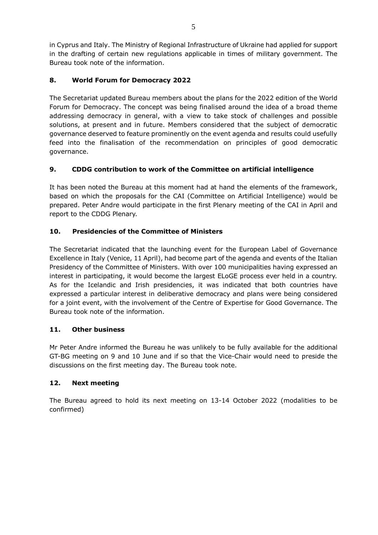in Cyprus and Italy. The Ministry of Regional Infrastructure of Ukraine had applied for support in the drafting of certain new regulations applicable in times of military government. The Bureau took note of the information.

# **8. World Forum for Democracy 2022**

The Secretariat updated Bureau members about the plans for the 2022 edition of the World Forum for Democracy. The concept was being finalised around the idea of a broad theme addressing democracy in general, with a view to take stock of challenges and possible solutions, at present and in future. Members considered that the subject of democratic governance deserved to feature prominently on the event agenda and results could usefully feed into the finalisation of the recommendation on principles of good democratic governance.

## **9. CDDG contribution to work of the Committee on artificial intelligence**

It has been noted the Bureau at this moment had at hand the elements of the framework, based on which the proposals for the CAI (Committee on Artificial Intelligence) would be prepared. Peter Andre would participate in the first Plenary meeting of the CAI in April and report to the CDDG Plenary.

## **10. Presidencies of the Committee of Ministers**

The Secretariat indicated that the launching event for the European Label of Governance Excellence in Italy (Venice, 11 April), had become part of the agenda and events of the Italian Presidency of the Committee of Ministers. With over 100 municipalities having expressed an interest in participating, it would become the largest ELoGE process ever held in a country. As for the Icelandic and Irish presidencies, it was indicated that both countries have expressed a particular interest in deliberative democracy and plans were being considered for a joint event, with the involvement of the Centre of Expertise for Good Governance. The Bureau took note of the information.

## **11. Other business**

Mr Peter Andre informed the Bureau he was unlikely to be fully available for the additional GT-BG meeting on 9 and 10 June and if so that the Vice-Chair would need to preside the discussions on the first meeting day. The Bureau took note.

## **12. Next meeting**

The Bureau agreed to hold its next meeting on 13-14 October 2022 (modalities to be confirmed)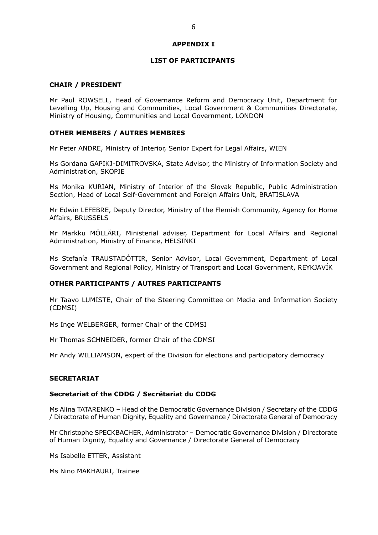#### **APPENDIX I**

#### **LIST OF PARTICIPANTS**

#### **CHAIR / PRESIDENT**

Mr Paul ROWSELL, Head of Governance Reform and Democracy Unit, Department for Levelling Up, Housing and Communities, Local Government & Communities Directorate, Ministry of Housing, Communities and Local Government, LONDON

#### **OTHER MEMBERS / AUTRES MEMBRES**

Mr Peter ANDRE, Ministry of Interior, Senior Expert for Legal Affairs, WIEN

Ms Gordana GAPIKJ-DIMITROVSKA, State Advisor, the Ministry of Information Society and Administration, SKOPJE

Ms Monika KURIAN, Ministry of Interior of the Slovak Republic, Public Administration Section, Head of Local Self-Government and Foreign Affairs Unit, BRATISLAVA

Mr Edwin LEFEBRE, Deputy Director, Ministry of the Flemish Community, Agency for Home Affairs, BRUSSELS

Mr Markku MÖLLÄRI, Ministerial adviser, Department for Local Affairs and Regional Administration, Ministry of Finance, HELSINKI

Ms Stefanía TRAUSTADÓTTIR, Senior Advisor, Local Government, Department of Local Government and Regional Policy, Ministry of Transport and Local Government, REYKJAVÍK

#### **OTHER PARTICIPANTS / AUTRES PARTICIPANTS**

Mr Taavo LUMISTE, Chair of the Steering Committee on Media and Information Society (CDMSI)

Ms Inge WELBERGER, former Chair of the CDMSI

Mr Thomas SCHNEIDER, former Chair of the CDMSI

Mr Andy WILLIAMSON, expert of the Division for elections and participatory democracy

#### **SECRETARIAT**

#### **Secretariat of the CDDG / Secrétariat du CDDG**

Ms Alina TATARENKO – Head of the Democratic Governance Division / Secretary of the CDDG / Directorate of Human Dignity, Equality and Governance / Directorate General of Democracy

Mr Christophe SPECKBACHER, Administrator – Democratic Governance Division / Directorate of Human Dignity, Equality and Governance / Directorate General of Democracy

Ms Isabelle ETTER, Assistant

Ms Nino MAKHAURI, Trainee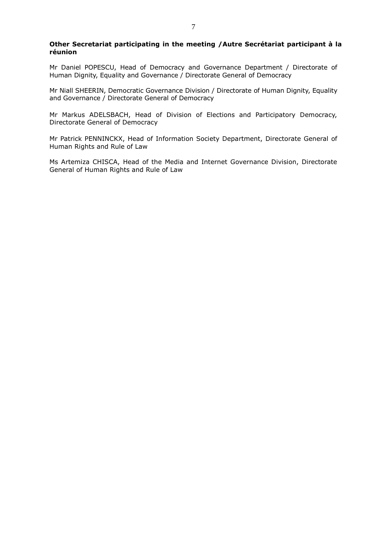#### **Other Secretariat participating in the meeting /Autre Secrétariat participant à la réunion**

Mr Daniel POPESCU, Head of Democracy and Governance Department / Directorate of Human Dignity, Equality and Governance / Directorate General of Democracy

Mr Niall SHEERIN, Democratic Governance Division / Directorate of Human Dignity, Equality and Governance / Directorate General of Democracy

Mr Markus ADELSBACH, Head of Division of Elections and Participatory Democracy, Directorate General of Democracy

Mr Patrick PENNINCKX, Head of Information Society Department, Directorate General of Human Rights and Rule of Law

Ms Artemiza CHISCA, Head of the Media and Internet Governance Division, Directorate General of Human Rights and Rule of Law